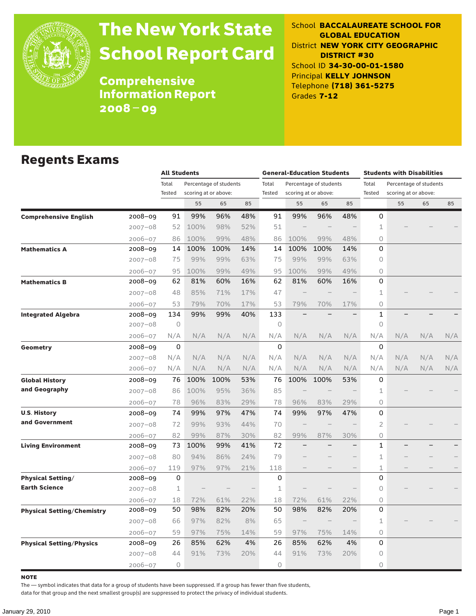

# The New York State School Report Card

School **BACCALAUREATE SCHOOL FOR GLOBAL EDUCATION** District **NEW YORK CITY GEOGRAPHIC DISTRICT #30** School ID **34-30-00-01-1580** Principal **KELLY JOHNSON** Telephone **(718) 361-5275** Grades **7-12**

Comprehensive Information Report 2008–09

### Regents Exams

|                                   |             | <b>All Students</b> |      |                        |     | <b>General-Education Students</b> |                          |                          |     | <b>Students with Disabilities</b> |                        |     |     |
|-----------------------------------|-------------|---------------------|------|------------------------|-----|-----------------------------------|--------------------------|--------------------------|-----|-----------------------------------|------------------------|-----|-----|
|                                   |             | Total               |      | Percentage of students |     | Total                             |                          | Percentage of students   |     | Total                             | Percentage of students |     |     |
|                                   |             | Tested              |      | scoring at or above:   |     | Tested                            |                          | scoring at or above:     |     | Tested                            | scoring at or above:   |     |     |
|                                   |             |                     | 55   | 65                     | 85  |                                   | 55                       | 65                       | 85  |                                   | 55                     | 65  | 85  |
| <b>Comprehensive English</b>      | 2008-09     | 91                  | 99%  | 96%                    | 48% | 91                                | 99%                      | 96%                      | 48% | 0                                 |                        |     |     |
|                                   | $2007 - 08$ | 52                  | 100% | 98%                    | 52% | 51                                |                          |                          |     | 1                                 |                        |     |     |
|                                   | $2006 - 07$ | 86                  | 100% | 99%                    | 48% | 86                                | 100%                     | 99%                      | 48% | $\Omega$                          |                        |     |     |
| <b>Mathematics A</b>              | 2008-09     | 14                  | 100% | 100%                   | 14% | 14                                | 100%                     | 100%                     | 14% | 0                                 |                        |     |     |
|                                   | 2007-08     | 75                  | 99%  | 99%                    | 63% | 75                                | 99%                      | 99%                      | 63% | $\circ$                           |                        |     |     |
|                                   | $2006 - 07$ | 95                  | 100% | 99%                    | 49% | 95                                | 100%                     | 99%                      | 49% | $\circ$                           |                        |     |     |
| <b>Mathematics B</b>              | 2008-09     | 62                  | 81%  | 60%                    | 16% | 62                                | 81%                      | 60%                      | 16% | 0                                 |                        |     |     |
|                                   | $2007 - 08$ | 48                  | 85%  | 71%                    | 17% | 47                                | $\overline{\phantom{0}}$ | $\overline{\phantom{0}}$ |     | 1                                 |                        |     |     |
|                                   | 2006-07     | 53                  | 79%  | 70%                    | 17% | 53                                | 79%                      | 70%                      | 17% | $\Omega$                          |                        |     |     |
| <b>Integrated Algebra</b>         | 2008-09     | 134                 | 99%  | 99%                    | 40% | 133                               |                          |                          |     | $\mathbf{1}$                      |                        |     |     |
|                                   | 2007-08     | $\circ$             |      |                        |     | $\circ$                           |                          |                          |     | $\circ$                           |                        |     |     |
|                                   | 2006-07     | N/A                 | N/A  | N/A                    | N/A | N/A                               | N/A                      | N/A                      | N/A | N/A                               | N/A                    | N/A | N/A |
| Geometry                          | 2008-09     | 0                   |      |                        |     | $\Omega$                          |                          |                          |     | 0                                 |                        |     |     |
|                                   | $2007 - 08$ | N/A                 | N/A  | N/A                    | N/A | N/A                               | N/A                      | N/A                      | N/A | N/A                               | N/A                    | N/A | N/A |
|                                   | 2006-07     | N/A                 | N/A  | N/A                    | N/A | N/A                               | N/A                      | N/A                      | N/A | N/A                               | N/A                    | N/A | N/A |
| <b>Global History</b>             | 2008-09     | 76                  | 100% | 100%                   | 53% | 76                                | 100%                     | 100%                     | 53% | 0                                 |                        |     |     |
| and Geography                     | $2007 - 08$ | 86                  | 100% | 95%                    | 36% | 85                                |                          |                          |     | 1                                 |                        |     |     |
|                                   | $2006 - 07$ | 78                  | 96%  | 83%                    | 29% | 78                                | 96%                      | 83%                      | 29% | $\circ$                           |                        |     |     |
| <b>U.S. History</b>               | 2008-09     | 74                  | 99%  | 97%                    | 47% | 74                                | 99%                      | 97%                      | 47% | 0                                 |                        |     |     |
| and Government                    | $2007 - 08$ | 72                  | 99%  | 93%                    | 44% | 70                                |                          |                          |     | 2                                 |                        |     |     |
|                                   | $2006 - 07$ | 82                  | 99%  | 87%                    | 30% | 82                                | 99%                      | 87%                      | 30% | $\circ$                           |                        |     |     |
| <b>Living Environment</b>         | 2008-09     | 73                  | 100% | 99%                    | 41% | 72                                |                          |                          |     | 1                                 |                        |     |     |
|                                   | $2007 - 08$ | 80                  | 94%  | 86%                    | 24% | 79                                |                          |                          |     | 1                                 |                        |     |     |
|                                   | $2006 - 07$ | 119                 | 97%  | 97%                    | 21% | 118                               |                          |                          |     | 1                                 |                        |     |     |
| <b>Physical Setting/</b>          | 2008-09     | 0                   |      |                        |     | 0                                 |                          |                          |     | 0                                 |                        |     |     |
| <b>Earth Science</b>              | $2007 - 08$ | 1                   |      |                        |     | 1                                 |                          |                          |     | $\Omega$                          |                        |     |     |
|                                   | $2006 - 07$ | 18                  | 72%  | 61%                    | 22% | 18                                | 72%                      | 61%                      | 22% | $\Omega$                          |                        |     |     |
| <b>Physical Setting/Chemistry</b> | 2008–09     | 50                  | 98%  | 82%                    | 20% | 50                                | 98%                      | 82%                      | 20% | 0                                 |                        |     |     |
|                                   | $2007 - 08$ | 66                  | 97%  | 82%                    | 8%  | 65                                |                          |                          |     | 1                                 |                        |     |     |
|                                   | 2006-07     | 59                  | 97%  | 75%                    | 14% | 59                                | 97%                      | 75%                      | 14% | $\Omega$                          |                        |     |     |
| <b>Physical Setting/Physics</b>   | $2008 - 09$ | 26                  | 85%  | 62%                    | 4%  | 26                                | 85%                      | 62%                      | 4%  | 0                                 |                        |     |     |
|                                   | 2007-08     | 44                  | 91%  | 73%                    | 20% | 44                                | 91%                      | 73%                      | 20% | 0                                 |                        |     |     |
|                                   | $2006 - 07$ | 0                   |      |                        |     | $\circ$                           |                          |                          |     | $\circ$                           |                        |     |     |

**NOTE** 

The — symbol indicates that data for a group of students have been suppressed. If a group has fewer than five students,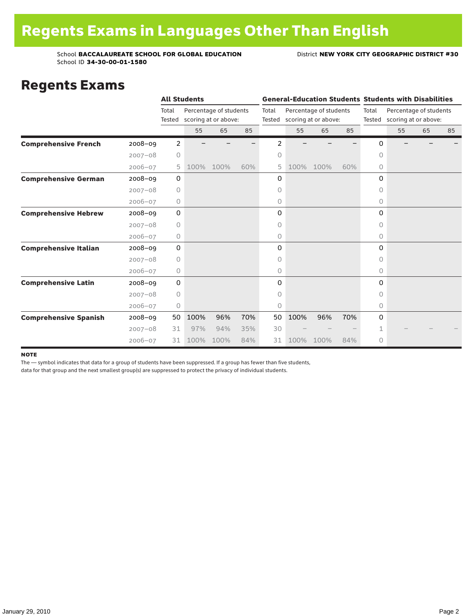### Regents Exams

|                              |             |                 | <b>All Students</b> |                                                |     |       |      |                                                       |     |                                                                | <b>General-Education Students Students with Disabilities</b> |    |    |  |
|------------------------------|-------------|-----------------|---------------------|------------------------------------------------|-----|-------|------|-------------------------------------------------------|-----|----------------------------------------------------------------|--------------------------------------------------------------|----|----|--|
|                              |             | Total<br>Tested |                     | Percentage of students<br>scoring at or above: |     | Total |      | Percentage of students<br>Tested scoring at or above: |     | Total<br>Percentage of students<br>Tested scoring at or above: |                                                              |    |    |  |
|                              |             |                 | 55                  | 65                                             | 85  |       | 55   | 65                                                    | 85  |                                                                | 55                                                           | 65 | 85 |  |
| <b>Comprehensive French</b>  | 2008-09     | 2               |                     |                                                |     | 2     |      |                                                       |     | 0                                                              |                                                              |    |    |  |
|                              | $2007 - 08$ | 0               |                     |                                                |     | 0     |      |                                                       |     | 0                                                              |                                                              |    |    |  |
|                              | $2006 - 07$ | 5               | 100%                | 100%                                           | 60% | 5     | 100% | 100%                                                  | 60% | 0                                                              |                                                              |    |    |  |
| <b>Comprehensive German</b>  | 2008-09     | $\mathbf 0$     |                     |                                                |     | 0     |      |                                                       |     | 0                                                              |                                                              |    |    |  |
|                              | $2007 - 08$ | 0               |                     |                                                |     | 0     |      |                                                       |     | 0                                                              |                                                              |    |    |  |
|                              | $2006 - 07$ | 0               |                     |                                                |     | 0     |      |                                                       |     | 0                                                              |                                                              |    |    |  |
| <b>Comprehensive Hebrew</b>  | $2008 - 09$ | 0               |                     |                                                |     | 0     |      |                                                       |     | 0                                                              |                                                              |    |    |  |
|                              | $2007 - 08$ | $\circ$         |                     |                                                |     | 0     |      |                                                       |     | 0                                                              |                                                              |    |    |  |
|                              | $2006 - 07$ | 0               |                     |                                                |     | 0     |      |                                                       |     | 0                                                              |                                                              |    |    |  |
| <b>Comprehensive Italian</b> | 2008-09     | 0               |                     |                                                |     | 0     |      |                                                       |     | 0                                                              |                                                              |    |    |  |
|                              | $2007 - 08$ | 0               |                     |                                                |     | 0     |      |                                                       |     | 0                                                              |                                                              |    |    |  |
|                              | $2006 - 07$ | 0               |                     |                                                |     | 0     |      |                                                       |     | 0                                                              |                                                              |    |    |  |
| <b>Comprehensive Latin</b>   | $2008 - 09$ | 0               |                     |                                                |     | 0     |      |                                                       |     | 0                                                              |                                                              |    |    |  |
|                              | $2007 - 08$ | 0               |                     |                                                |     | 0     |      |                                                       |     | 0                                                              |                                                              |    |    |  |
|                              | $2006 - 07$ | 0               |                     |                                                |     | 0     |      |                                                       |     | 0                                                              |                                                              |    |    |  |
| <b>Comprehensive Spanish</b> | $2008 - 09$ | 50              | 100%                | 96%                                            | 70% | 50    | 100% | 96%                                                   | 70% | 0                                                              |                                                              |    |    |  |
|                              | $2007 - 08$ | 31              | 97%                 | 94%                                            | 35% | 30    |      |                                                       |     | 1                                                              |                                                              |    |    |  |
|                              | $2006 - 07$ | 31              | 100%                | 100%                                           | 84% | 31    | 100% | 100%                                                  | 84% | 0                                                              |                                                              |    |    |  |

#### note

The — symbol indicates that data for a group of students have been suppressed. If a group has fewer than five students,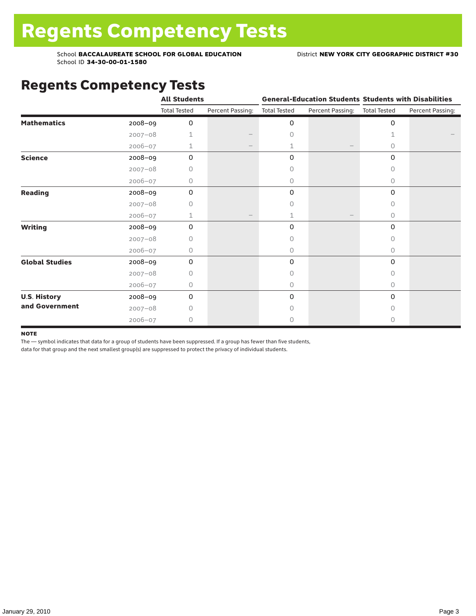## Regents Competency Tests

|                       |             | <b>All Students</b> |                  |                     | <b>General-Education Students Students with Disabilities</b> |                     |                  |
|-----------------------|-------------|---------------------|------------------|---------------------|--------------------------------------------------------------|---------------------|------------------|
|                       |             | <b>Total Tested</b> | Percent Passing: | <b>Total Tested</b> | Percent Passing:                                             | <b>Total Tested</b> | Percent Passing: |
| <b>Mathematics</b>    | 2008-09     | 0                   |                  | 0                   |                                                              | 0                   |                  |
|                       | $2007 - 08$ | 1                   |                  | $\circ$             |                                                              | 1                   |                  |
|                       | $2006 - 07$ | 1                   |                  | 1                   |                                                              | 0                   |                  |
| <b>Science</b>        | 2008-09     | 0                   |                  | 0                   |                                                              | 0                   |                  |
|                       | $2007 - 08$ | 0                   |                  | 0                   |                                                              | 0                   |                  |
|                       | 2006-07     | 0                   |                  | 0                   |                                                              | 0                   |                  |
| Reading               | 2008-09     | 0                   |                  | 0                   |                                                              | 0                   |                  |
|                       | $2007 - 08$ | Ω                   |                  | 0                   |                                                              | 0                   |                  |
|                       | 2006-07     | $\mathbf{1}$        |                  | 1                   |                                                              | 0                   |                  |
| <b>Writing</b>        | 2008-09     | 0                   |                  | 0                   |                                                              | 0                   |                  |
|                       | $2007 - 08$ | 0                   |                  | 0                   |                                                              | 0                   |                  |
|                       | $2006 - 07$ | 0                   |                  | 0                   |                                                              | 0                   |                  |
| <b>Global Studies</b> | 2008-09     | 0                   |                  | 0                   |                                                              | 0                   |                  |
|                       | $2007 - 08$ | 0                   |                  | 0                   |                                                              | 0                   |                  |
|                       | 2006-07     | 0                   |                  | $\circ$             |                                                              | 0                   |                  |
| <b>U.S. History</b>   | 2008-09     | 0                   |                  | 0                   |                                                              | $\Omega$            |                  |
| and Government        | $2007 - 08$ | 0                   |                  | $\Omega$            |                                                              | <sup>n</sup>        |                  |
|                       | 2006-07     | 0                   |                  | 0                   |                                                              | 0                   |                  |

#### **NOTE**

The — symbol indicates that data for a group of students have been suppressed. If a group has fewer than five students,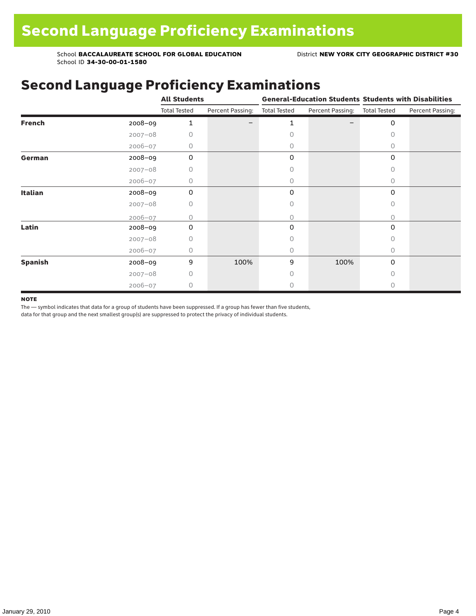## Second Language Proficiency Examinations

|                |             | <b>All Students</b> |                  |                     |                               | <b>General-Education Students Students with Disabilities</b> |                  |  |
|----------------|-------------|---------------------|------------------|---------------------|-------------------------------|--------------------------------------------------------------|------------------|--|
|                |             | <b>Total Tested</b> | Percent Passing: | <b>Total Tested</b> | Percent Passing: Total Tested |                                                              | Percent Passing: |  |
| <b>French</b>  | 2008-09     | 1                   |                  | 1                   |                               | 0                                                            |                  |  |
|                | $2007 - 08$ | 0                   |                  | Ω                   |                               | 0                                                            |                  |  |
|                | $2006 - 07$ | 0                   |                  | 0                   |                               | 0                                                            |                  |  |
| German         | 2008-09     | $\mathbf 0$         |                  | 0                   |                               | 0                                                            |                  |  |
|                | $2007 - 08$ | 0                   |                  |                     |                               | 0                                                            |                  |  |
|                | $2006 - 07$ | 0                   |                  | 0                   |                               | $\Omega$                                                     |                  |  |
| Italian        | 2008-09     | 0                   |                  | 0                   |                               | 0                                                            |                  |  |
|                | $2007 - 08$ | 0                   |                  | 0                   |                               | 0                                                            |                  |  |
|                | $2006 - 07$ | Ω                   |                  | 0                   |                               | 0                                                            |                  |  |
| Latin          | 2008-09     | 0                   |                  | 0                   |                               | $\Omega$                                                     |                  |  |
|                | $2007 - 08$ | Ω                   |                  |                     |                               | Ω                                                            |                  |  |
|                | 2006-07     | 0                   |                  | 0                   |                               | $\Omega$                                                     |                  |  |
| <b>Spanish</b> | 2008-09     | 9                   | 100%             | 9                   | 100%                          | 0                                                            |                  |  |
|                | $2007 - 08$ | 0                   |                  | Ω                   |                               | 0                                                            |                  |  |
|                | $2006 - 07$ | 0                   |                  |                     |                               | 0                                                            |                  |  |

#### **NOTE**

The — symbol indicates that data for a group of students have been suppressed. If a group has fewer than five students,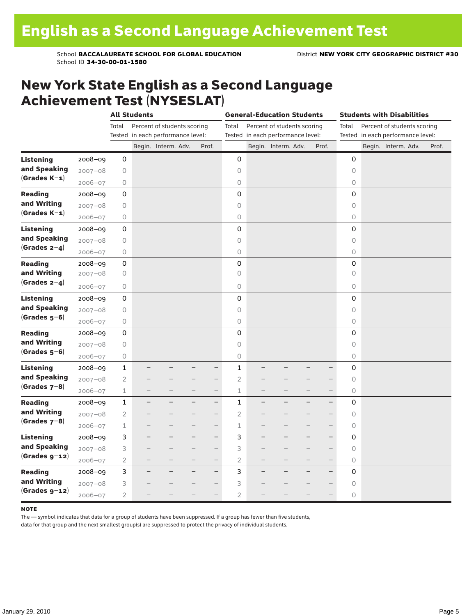### New York State English as a Second Language Achievement Test (NYSESLAT)

|                  |             |                | <b>All Students</b> |                                   |                          |                | <b>General-Education Students</b> |                                   | <b>Students with Disabilities</b> |                     |  |                                   |  |       |
|------------------|-------------|----------------|---------------------|-----------------------------------|--------------------------|----------------|-----------------------------------|-----------------------------------|-----------------------------------|---------------------|--|-----------------------------------|--|-------|
|                  |             | Total          |                     | Percent of students scoring       |                          | Total          |                                   | Percent of students scoring       |                                   | Total               |  | Percent of students scoring       |  |       |
|                  |             |                |                     | Tested in each performance level: |                          |                |                                   | Tested in each performance level: |                                   |                     |  | Tested in each performance level: |  |       |
|                  |             |                |                     | Begin. Interm. Adv.               | Prof.                    |                |                                   | Begin. Interm. Adv.               | Prof.                             |                     |  | Begin. Interm. Adv.               |  | Prof. |
| <b>Listening</b> | 2008-09     | 0              |                     |                                   |                          | 0              |                                   |                                   |                                   | $\mathbf 0$         |  |                                   |  |       |
| and Speaking     | $2007 - 08$ | 0              |                     |                                   |                          | $\circ$        |                                   |                                   |                                   | $\circ$             |  |                                   |  |       |
| $(Grades K-1)$   | $2006 - 07$ | 0              |                     |                                   |                          | $\circ$        |                                   |                                   |                                   | 0                   |  |                                   |  |       |
| <b>Reading</b>   | $2008 - 09$ | 0              |                     |                                   |                          | 0              |                                   |                                   |                                   | 0                   |  |                                   |  |       |
| and Writing      | $2007 - 08$ | 0              |                     |                                   |                          | $\circ$        |                                   |                                   |                                   | 0                   |  |                                   |  |       |
| $(Grades K-1)$   | $2006 - 07$ | $\bigcirc$     |                     |                                   |                          | $\mathsf O$    |                                   |                                   |                                   | 0                   |  |                                   |  |       |
| <b>Listening</b> | $2008 - 09$ | 0              |                     |                                   |                          | $\mathsf 0$    |                                   |                                   |                                   | $\mathbf 0$         |  |                                   |  |       |
| and Speaking     | $2007 - 08$ | 0              |                     |                                   |                          | $\circ$        |                                   |                                   |                                   | $\circ$             |  |                                   |  |       |
| $(Grades 2-4)$   | 2006-07     | 0              |                     |                                   |                          | $\bigcirc$     |                                   |                                   |                                   | $\bigcirc$          |  |                                   |  |       |
| <b>Reading</b>   | 2008-09     | 0              |                     |                                   |                          | 0              |                                   |                                   |                                   | $\mathbf 0$         |  |                                   |  |       |
| and Writing      | $2007 - 08$ | 0              |                     |                                   |                          | $\circ$        |                                   |                                   |                                   | $\circ$             |  |                                   |  |       |
| (Grades $2-4$ )  | $2006 - 07$ | $\bigcirc$     |                     |                                   |                          | $\circ$        |                                   |                                   |                                   | 0                   |  |                                   |  |       |
| <b>Listening</b> | $2008 - 09$ | 0              |                     |                                   |                          | $\mathbf 0$    |                                   |                                   |                                   | 0                   |  |                                   |  |       |
| and Speaking     | $2007 - 08$ | 0              |                     |                                   |                          | $\circ$        |                                   |                                   |                                   | $\circlearrowright$ |  |                                   |  |       |
| $(Grades 5-6)$   | $2006 - 07$ | 0              |                     |                                   |                          | 0              |                                   |                                   |                                   | 0                   |  |                                   |  |       |
| <b>Reading</b>   | $2008 - 09$ | 0              |                     |                                   |                          | $\mathsf 0$    |                                   |                                   |                                   | $\mathsf 0$         |  |                                   |  |       |
| and Writing      | $2007 - 08$ | 0              |                     |                                   |                          | $\circ$        |                                   |                                   |                                   | $\circ$             |  |                                   |  |       |
| $(Grades 5-6)$   | $2006 - 07$ | 0              |                     |                                   |                          | $\bigcirc$     |                                   |                                   |                                   | 0                   |  |                                   |  |       |
| <b>Listening</b> | $2008 - 09$ | $\mathbf{1}$   |                     |                                   | $\overline{\phantom{0}}$ | 1              |                                   |                                   |                                   | 0                   |  |                                   |  |       |
| and Speaking     | $2007 - 08$ | $\overline{2}$ |                     |                                   |                          | $\overline{2}$ |                                   |                                   |                                   | $\circ$             |  |                                   |  |       |
| $(Grades 7-8)$   | $2006 - 07$ | $\mathbf 1$    |                     |                                   | $\qquad \qquad -$        | $\mathbf 1$    |                                   |                                   | $\qquad \qquad -$                 | 0                   |  |                                   |  |       |
| <b>Reading</b>   | 2008-09     | $\mathbf{1}$   |                     |                                   | $-$                      | $\mathbf{1}$   |                                   |                                   | $\overline{\phantom{0}}$          | 0                   |  |                                   |  |       |
| and Writing      | $2007 - 08$ | $\overline{2}$ |                     |                                   | $-$                      | $\overline{2}$ |                                   |                                   | $\overline{\phantom{0}}$          | $\circ$             |  |                                   |  |       |
| $(Grades 7-8)$   | $2006 - 07$ | $\mathbf 1$    |                     |                                   | $\overline{\phantom{0}}$ | $\mathbf 1$    |                                   |                                   | $\overline{\phantom{0}}$          | 0                   |  |                                   |  |       |
| <b>Listening</b> | $2008 - 09$ | 3              | -                   |                                   | -                        | 3              |                                   |                                   | $\overline{\phantom{0}}$          | 0                   |  |                                   |  |       |
| and Speaking     | $2007 - 08$ | 3              |                     |                                   | $\overline{\phantom{0}}$ | 3              |                                   |                                   | $\overline{\phantom{0}}$          | $\circ$             |  |                                   |  |       |
| $(Grades g-12)$  | $2006 - 07$ | $\overline{2}$ |                     |                                   | $\overline{\phantom{0}}$ | $\overline{2}$ |                                   |                                   |                                   | 0                   |  |                                   |  |       |
| <b>Reading</b>   | $2008 - 09$ | 3              |                     |                                   | $-$                      | 3              |                                   |                                   | $\overline{\phantom{0}}$          | 0                   |  |                                   |  |       |
| and Writing      | $2007 - 08$ | 3              |                     |                                   | $\overline{\phantom{0}}$ | 3              |                                   |                                   | $\overline{\phantom{0}}$          | $\circ$             |  |                                   |  |       |
| $(Grades g-12)$  | $2006 - 07$ | $\overline{2}$ |                     |                                   | $\overline{\phantom{0}}$ | $\overline{2}$ |                                   |                                   |                                   | 0                   |  |                                   |  |       |

#### **NOTE**

The — symbol indicates that data for a group of students have been suppressed. If a group has fewer than five students,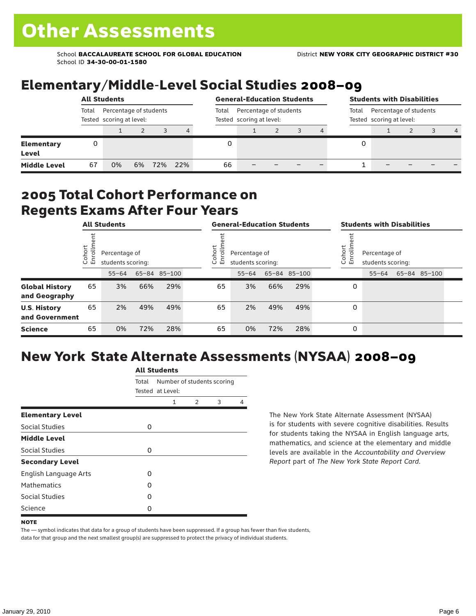### Elementary/Middle-Level Social Studies 2008–09

|                                   | <b>All Students</b> |                                                    |    |     |     |       | <b>General-Education Students</b>                  |  |  |  |   | <b>Students with Disabilities</b>                           |  |  |                |  |  |
|-----------------------------------|---------------------|----------------------------------------------------|----|-----|-----|-------|----------------------------------------------------|--|--|--|---|-------------------------------------------------------------|--|--|----------------|--|--|
|                                   | Total               | Percentage of students<br>Tested scoring at level: |    |     |     | Total | Percentage of students<br>Tested scoring at level: |  |  |  |   | Percentage of students<br>Total<br>Tested scoring at level: |  |  |                |  |  |
|                                   |                     |                                                    |    |     | 4   |       |                                                    |  |  |  |   |                                                             |  |  | $\overline{4}$ |  |  |
| <b>Elementary</b><br><b>Level</b> | 0                   |                                                    |    |     |     |       |                                                    |  |  |  | 0 |                                                             |  |  |                |  |  |
| <b>Middle Level</b>               | 67                  | 0%                                                 | 6% | 72% | 22% | 66    |                                                    |  |  |  |   |                                                             |  |  |                |  |  |

### 2005 Total Cohort Performance on Regents Exams After Four Years

|                                        | <b>All Students</b> |                                    |     | <b>General-Education Students</b> |                                                              |           |     | <b>Students with Disabilities</b> |                                                         |           |  |              |  |
|----------------------------------------|---------------------|------------------------------------|-----|-----------------------------------|--------------------------------------------------------------|-----------|-----|-----------------------------------|---------------------------------------------------------|-----------|--|--------------|--|
|                                        | Cohort<br>Enrollm   | Percentage of<br>students scoring: |     |                                   | Cohort<br>⋍<br>Percentage of<br>ò,<br>巴<br>students scoring: |           |     |                                   | Cohort<br>Percentage of<br>o,<br>문<br>students scoring: |           |  |              |  |
|                                        |                     | $55 - 64$                          |     | 65-84 85-100                      |                                                              | $55 - 64$ |     | 65-84 85-100                      |                                                         | $55 - 64$ |  | 65-84 85-100 |  |
| <b>Global History</b><br>and Geography | 65                  | 3%                                 | 66% | 29%                               | 65                                                           | 3%        | 66% | 29%                               | 0                                                       |           |  |              |  |
| <b>U.S. History</b><br>and Government  | 65                  | 2%                                 | 49% | 49%                               | 65                                                           | 2%        | 49% | 49%                               | 0                                                       |           |  |              |  |
| <b>Science</b>                         | 65                  | 0%                                 | 72% | 28%                               | 65                                                           | 0%        | 72% | 28%                               | 0                                                       |           |  |              |  |

## New York State Alternate Assessments (NYSAA) 2008–09

|                              | <b>All Students</b> |                                                |               |   |   |  |  |  |
|------------------------------|---------------------|------------------------------------------------|---------------|---|---|--|--|--|
|                              | Total               | Number of students scoring<br>Tested at Level: |               |   |   |  |  |  |
|                              |                     | 1                                              | $\mathcal{P}$ | 3 | 4 |  |  |  |
| <b>Elementary Level</b>      |                     |                                                |               |   |   |  |  |  |
| Social Studies               | 0                   |                                                |               |   |   |  |  |  |
| <b>Middle Level</b>          |                     |                                                |               |   |   |  |  |  |
| Social Studies               | 0                   |                                                |               |   |   |  |  |  |
| <b>Secondary Level</b>       |                     |                                                |               |   |   |  |  |  |
| <b>English Language Arts</b> | O                   |                                                |               |   |   |  |  |  |
| <b>Mathematics</b>           | Ω                   |                                                |               |   |   |  |  |  |
| Social Studies               | O                   |                                                |               |   |   |  |  |  |
| Science                      | Ω                   |                                                |               |   |   |  |  |  |

The New York State Alternate Assessment (NYSAA) is for students with severe cognitive disabilities. Results for students taking the NYSAA in English language arts, mathematics, and science at the elementary and middle levels are available in the *Accountability and Overview Report* part of *The New York State Report Card*.

The — symbol indicates that data for a group of students have been suppressed. If a group has fewer than five students, data for that group and the next smallest group(s) are suppressed to protect the privacy of individual students.

**NOTE**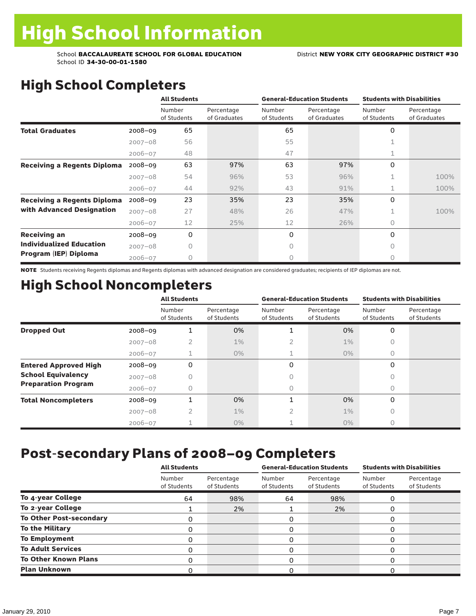# High School Completers

|                                    |             | <b>All Students</b>   |                            |                       | <b>General-Education Students</b> | <b>Students with Disabilities</b> |                            |
|------------------------------------|-------------|-----------------------|----------------------------|-----------------------|-----------------------------------|-----------------------------------|----------------------------|
|                                    |             | Number<br>of Students | Percentage<br>of Graduates | Number<br>of Students | Percentage<br>of Graduates        | Number<br>of Students             | Percentage<br>of Graduates |
| <b>Total Graduates</b>             | $2008 - 09$ | 65                    |                            | 65                    |                                   | 0                                 |                            |
|                                    | $2007 - 08$ | 56                    |                            | 55                    |                                   |                                   |                            |
|                                    | $2006 - 07$ | 48                    |                            | 47                    |                                   | ⊥.                                |                            |
| <b>Receiving a Regents Diploma</b> | $2008 - 09$ | 63                    | 97%                        | 63                    | 97%                               | 0                                 |                            |
|                                    | $2007 - 08$ | 54                    | 96%                        | 53                    | 96%                               | 1                                 | 100%                       |
|                                    | $2006 - 07$ | 44                    | 92%                        | 43                    | 91%                               | $\mathbf 1$                       | 100%                       |
| <b>Receiving a Regents Diploma</b> | $2008 - 09$ | 23                    | 35%                        | 23                    | 35%                               | 0                                 |                            |
| with Advanced Designation          | $2007 - 08$ | 27                    | 48%                        | 26                    | 47%                               |                                   | 100%                       |
|                                    | $2006 - 07$ | 12                    | 25%                        | 12                    | 26%                               | $\bigcap$                         |                            |
| <b>Receiving an</b>                | $2008 - 09$ | 0                     |                            | 0                     |                                   | $\Omega$                          |                            |
| <b>Individualized Education</b>    | $2007 - 08$ | Ω                     |                            | Ω                     |                                   | $\cap$                            |                            |
| Program (IEP) Diploma              | $2006 - 07$ | 0                     |                            | 0                     |                                   | 0                                 |                            |

NOTE Students receiving Regents diplomas and Regents diplomas with advanced designation are considered graduates; recipients of IEP diplomas are not.

## High School Noncompleters

|                              |             | <b>All Students</b>   |                           |                       | <b>General-Education Students</b> | <b>Students with Disabilities</b> |                           |
|------------------------------|-------------|-----------------------|---------------------------|-----------------------|-----------------------------------|-----------------------------------|---------------------------|
|                              |             | Number<br>of Students | Percentage<br>of Students | Number<br>of Students | Percentage<br>of Students         | Number<br>of Students             | Percentage<br>of Students |
| <b>Dropped Out</b>           | $2008 - 09$ | 1                     | 0%                        |                       | 0%                                | 0                                 |                           |
|                              | $2007 - 08$ |                       | $1\%$                     |                       | $1\%$                             | <sup>n</sup>                      |                           |
|                              | $2006 - 07$ |                       | $0\%$                     |                       | $0\%$                             | 0                                 |                           |
| <b>Entered Approved High</b> | $2008 - 09$ | 0                     |                           | 0                     |                                   | $\Omega$                          |                           |
| <b>School Equivalency</b>    | $2007 - 08$ | n                     |                           | 0                     |                                   | 0                                 |                           |
| <b>Preparation Program</b>   | $2006 - 07$ | 0                     |                           | 0                     |                                   | 0                                 |                           |
| <b>Total Noncompleters</b>   | $2008 - 09$ |                       | 0%                        |                       | 0%                                | $\Omega$                          |                           |
|                              | $2007 - 08$ | 2                     | $1\%$                     |                       | $1\%$                             | 0                                 |                           |
|                              | $2006 - 07$ |                       | $0\%$                     |                       | $0\%$                             | 0                                 |                           |

### Post-secondary Plans of 2008–09 Completers

|                                | <b>All Students</b>   |                           |                       | <b>General-Education Students</b> | <b>Students with Disabilities</b> |                           |  |
|--------------------------------|-----------------------|---------------------------|-----------------------|-----------------------------------|-----------------------------------|---------------------------|--|
|                                | Number<br>of Students | Percentage<br>of Students | Number<br>of Students | Percentage<br>of Students         | Number<br>of Students             | Percentage<br>of Students |  |
| To 4-year College              | 64                    | 98%                       | 64                    | 98%                               | O                                 |                           |  |
| To 2-year College              |                       | 2%                        |                       | 2%                                | O                                 |                           |  |
| <b>To Other Post-secondary</b> |                       |                           | 0                     |                                   | 0                                 |                           |  |
| <b>To the Military</b>         |                       |                           | 0                     |                                   | 0                                 |                           |  |
| <b>To Employment</b>           |                       |                           | 0                     |                                   | ი                                 |                           |  |
| <b>To Adult Services</b>       |                       |                           | 0                     |                                   | O                                 |                           |  |
| <b>To Other Known Plans</b>    |                       |                           | $\Omega$              |                                   | ი                                 |                           |  |
| <b>Plan Unknown</b>            |                       |                           | O                     |                                   |                                   |                           |  |